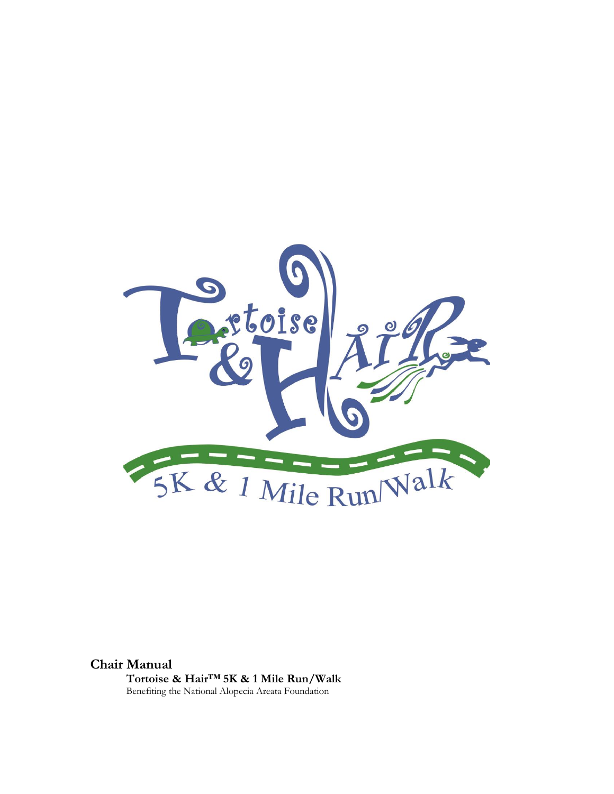

**Chair Manual Tortoise & Hair™ 5K & 1 Mile Run/Walk** Benefiting the National Alopecia Areata Foundation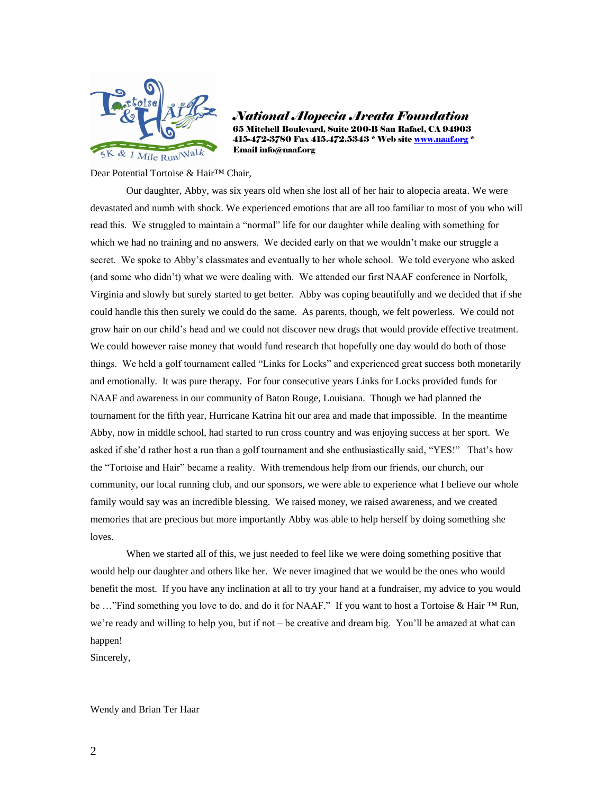

*National Alopecia Areata Foundation* 65 Mitchell Boulevard, Suite 200-B San Rafael, CA 94903 415-472-3780 Fax 415.472.5343 \* Web site [www.naaf.org](http://www.naaf.org/) \* Email info@naaf.org

Dear Potential Tortoise & Hair<sup>™</sup> Chair,

Our daughter, Abby, was six years old when she lost all of her hair to alopecia areata. We were devastated and numb with shock. We experienced emotions that are all too familiar to most of you who will read this. We struggled to maintain a "normal" life for our daughter while dealing with something for which we had no training and no answers. We decided early on that we wouldn't make our struggle a secret. We spoke to Abby's classmates and eventually to her whole school. We told everyone who asked (and some who didn't) what we were dealing with. We attended our first NAAF conference in Norfolk, Virginia and slowly but surely started to get better. Abby was coping beautifully and we decided that if she could handle this then surely we could do the same. As parents, though, we felt powerless. We could not grow hair on our child's head and we could not discover new drugs that would provide effective treatment. We could however raise money that would fund research that hopefully one day would do both of those things. We held a golf tournament called "Links for Locks" and experienced great success both monetarily and emotionally. It was pure therapy. For four consecutive years Links for Locks provided funds for NAAF and awareness in our community of Baton Rouge, Louisiana. Though we had planned the tournament for the fifth year, Hurricane Katrina hit our area and made that impossible. In the meantime Abby, now in middle school, had started to run cross country and was enjoying success at her sport. We asked if she'd rather host a run than a golf tournament and she enthusiastically said, "YES!" That's how the "Tortoise and Hair" became a reality. With tremendous help from our friends, our church, our community, our local running club, and our sponsors, we were able to experience what I believe our whole family would say was an incredible blessing. We raised money, we raised awareness, and we created memories that are precious but more importantly Abby was able to help herself by doing something she loves.

When we started all of this, we just needed to feel like we were doing something positive that would help our daughter and others like her. We never imagined that we would be the ones who would benefit the most. If you have any inclination at all to try your hand at a fundraiser, my advice to you would be ..."Find something you love to do, and do it for NAAF." If you want to host a Tortoise & Hair ™ Run, we're ready and willing to help you, but if not – be creative and dream big. You'll be amazed at what can happen!

Sincerely,

#### Wendy and Brian Ter Haar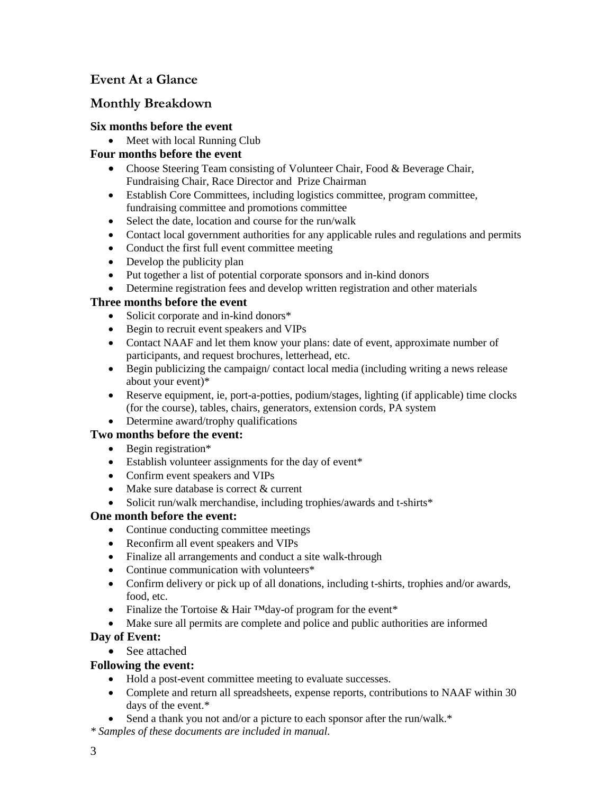# **Event At a Glance**

# **Monthly Breakdown**

## **Six months before the event**

• Meet with local Running Club

# **Four months before the event**

- Choose Steering Team consisting of Volunteer Chair, Food & Beverage Chair, Fundraising Chair, Race Director and Prize Chairman
- Establish Core Committees, including logistics committee, program committee, fundraising committee and promotions committee
- Select the date, location and course for the run/walk
- Contact local government authorities for any applicable rules and regulations and permits
- Conduct the first full event committee meeting
- Develop the publicity plan
- Put together a list of potential corporate sponsors and in-kind donors
- Determine registration fees and develop written registration and other materials

# **Three months before the event**

- Solicit corporate and in-kind donors\*
- Begin to recruit event speakers and VIPs
- Contact NAAF and let them know your plans: date of event, approximate number of participants, and request brochures, letterhead, etc.
- Begin publicizing the campaign/ contact local media (including writing a news release about your event)\*
- Reserve equipment, ie, port-a-potties, podium/stages, lighting (if applicable) time clocks (for the course), tables, chairs, generators, extension cords, PA system
- Determine award/trophy qualifications

# **Two months before the event:**

- Begin registration\*
- Establish volunteer assignments for the day of event\*
- Confirm event speakers and VIPs
- Make sure database is correct & current
- Solicit run/walk merchandise, including trophies/awards and t-shirts\*

## **One month before the event:**

- Continue conducting committee meetings
- Reconfirm all event speakers and VIPs
- Finalize all arrangements and conduct a site walk-through
- Continue communication with volunteers<sup>\*</sup>
- Confirm delivery or pick up of all donations, including t-shirts, trophies and/or awards, food, etc.
- Finalize the Tortoise & Hair ™day-of program for the event\*
- Make sure all permits are complete and police and public authorities are informed

# **Day of Event:**

• See attached

# **Following the event:**

- Hold a post-event committee meeting to evaluate successes.
- Complete and return all spreadsheets, expense reports, contributions to NAAF within 30 days of the event.\*
- Send a thank you not and/or a picture to each sponsor after the run/walk.\*
- *\* Samples of these documents are included in manual.*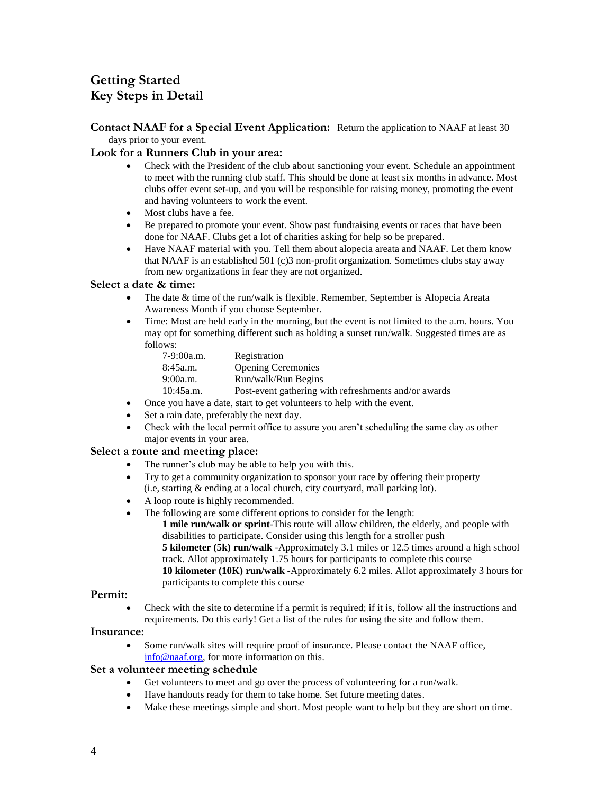# **Getting Started Key Steps in Detail**

### **Contact NAAF for a Special Event Application:** Return the application to NAAF at least 30 days prior to your event.

## **Look for a Runners Club in your area:**

- Check with the President of the club about sanctioning your event. Schedule an appointment to meet with the running club staff. This should be done at least six months in advance. Most clubs offer event set-up, and you will be responsible for raising money, promoting the event and having volunteers to work the event.
- Most clubs have a fee.
- Be prepared to promote your event. Show past fundraising events or races that have been done for NAAF. Clubs get a lot of charities asking for help so be prepared.
- Have NAAF material with you. Tell them about alopecia areata and NAAF. Let them know that NAAF is an established 501 (c)3 non-profit organization. Sometimes clubs stay away from new organizations in fear they are not organized.

## **Select a date & time:**

- The date & time of the run/walk is flexible. Remember, September is Alopecia Areata Awareness Month if you choose September.
- Time: Most are held early in the morning, but the event is not limited to the a.m. hours. You may opt for something different such as holding a sunset run/walk. Suggested times are as follows:

| 7-9:00a.m. | Registration                                         |
|------------|------------------------------------------------------|
| 8:45a.m.   | <b>Opening Ceremonies</b>                            |
| 9:00a.m.   | Run/walk/Run Begins                                  |
| 10:45a.m.  | Post-event gathering with refreshments and/or awards |

- Once you have a date, start to get volunteers to help with the event.
- Set a rain date, preferably the next day.
- Check with the local permit office to assure you aren't scheduling the same day as other major events in your area.

## **Select a route and meeting place:**

- The runner's club may be able to help you with this.
- Try to get a community organization to sponsor your race by offering their property (i.e, starting & ending at a local church, city courtyard, mall parking lot).
- A loop route is highly recommended.
- The following are some different options to consider for the length:
	- **1 mile run/walk or sprint**-This route will allow children, the elderly, and people with disabilities to participate. Consider using this length for a stroller push **5 kilometer (5k) run/walk** -Approximately 3.1 miles or 12.5 times around a high school track. Allot approximately 1.75 hours for participants to complete this course **10 kilometer (10K) run/walk** -Approximately 6.2 miles. Allot approximately 3 hours for participants to complete this course

### **Permit:**

 Check with the site to determine if a permit is required; if it is, follow all the instructions and requirements. Do this early! Get a list of the rules for using the site and follow them.

#### **Insurance:**

 Some run/walk sites will require proof of insurance. Please contact the NAAF office, [info@naaf.org,](mailto:info@naaf.org) for more information on this.

#### **Set a volunteer meeting schedule**

- Get volunteers to meet and go over the process of volunteering for a run/walk.
- Have handouts ready for them to take home. Set future meeting dates.
- Make these meetings simple and short. Most people want to help but they are short on time.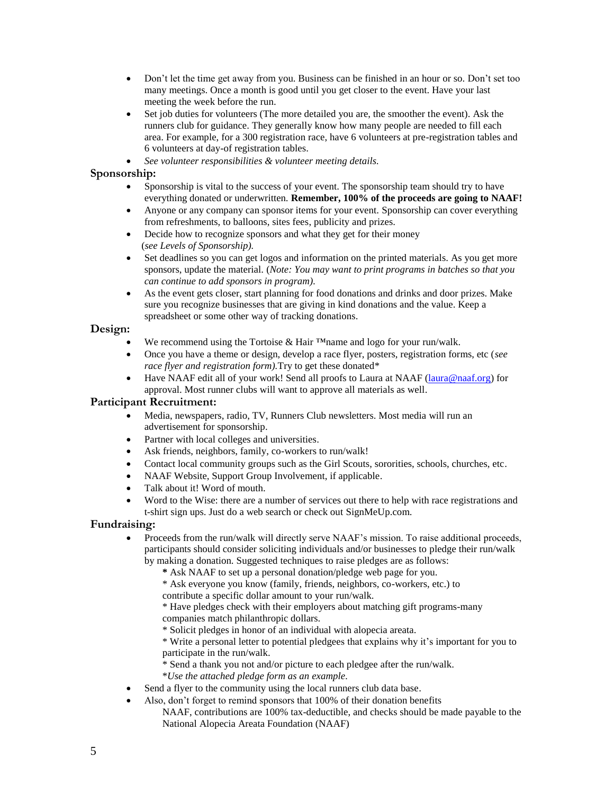- Don't let the time get away from you. Business can be finished in an hour or so. Don't set too many meetings. Once a month is good until you get closer to the event. Have your last meeting the week before the run.
- Set job duties for volunteers (The more detailed you are, the smoother the event). Ask the runners club for guidance. They generally know how many people are needed to fill each area. For example, for a 300 registration race, have 6 volunteers at pre-registration tables and 6 volunteers at day-of registration tables.
- *See volunteer responsibilities & volunteer meeting details.*

## **Sponsorship:**

- Sponsorship is vital to the success of your event. The sponsorship team should try to have everything donated or underwritten. **Remember, 100% of the proceeds are going to NAAF!**
- Anyone or any company can sponsor items for your event. Sponsorship can cover everything from refreshments, to balloons, sites fees, publicity and prizes.
- Decide how to recognize sponsors and what they get for their money (*see Levels of Sponsorship).*
- Set deadlines so you can get logos and information on the printed materials. As you get more sponsors, update the material. (*Note: You may want to print programs in batches so that you can continue to add sponsors in program).*
- As the event gets closer, start planning for food donations and drinks and door prizes. Make sure you recognize businesses that are giving in kind donations and the value. Keep a spreadsheet or some other way of tracking donations.

## **Design:**

- We recommend using the Tortoise & Hair ™name and logo for your run/walk.
- Once you have a theme or design, develop a race flyer, posters, registration forms, etc (*see race flyer and registration form).*Try to get these donated\*
- Have NAAF edit all of your work! Send all proofs to Laura at NAAF [\(laura@naaf.org\)](mailto:lisa@naaf.org) for approval. Most runner clubs will want to approve all materials as well.

## **Participant Recruitment:**

- Media, newspapers, radio, TV, Runners Club newsletters. Most media will run an advertisement for sponsorship.
- Partner with local colleges and universities.
- Ask friends, neighbors, family, co-workers to run/walk!
- Contact local community groups such as the Girl Scouts, sororities, schools, churches, etc.
- NAAF Website, Support Group Involvement, if applicable.
- Talk about it! Word of mouth.
- Word to the Wise: there are a number of services out there to help with race registrations and t-shirt sign ups. Just do a web search or check out SignMeUp.com.

## **Fundraising:**

- Proceeds from the run/walk will directly serve NAAF's mission. To raise additional proceeds, participants should consider soliciting individuals and/or businesses to pledge their run/walk by making a donation. Suggested techniques to raise pledges are as follows:
	- **\*** Ask NAAF to set up a personal donation/pledge web page for you.
	- \* Ask everyone you know (family, friends, neighbors, co-workers, etc.) to
	- contribute a specific dollar amount to your run/walk.
	- \* Have pledges check with their employers about matching gift programs-many companies match philanthropic dollars.
	- \* Solicit pledges in honor of an individual with alopecia areata.
	- \* Write a personal letter to potential pledgees that explains why it's important for you to participate in the run/walk.
	- \* Send a thank you not and/or picture to each pledgee after the run/walk.
	- \**Use the attached pledge form as an example.*
- Send a flyer to the community using the local runners club data base.
- Also, don't forget to remind sponsors that 100% of their donation benefits
	- NAAF, contributions are 100% tax-deductible, and checks should be made payable to the National Alopecia Areata Foundation (NAAF)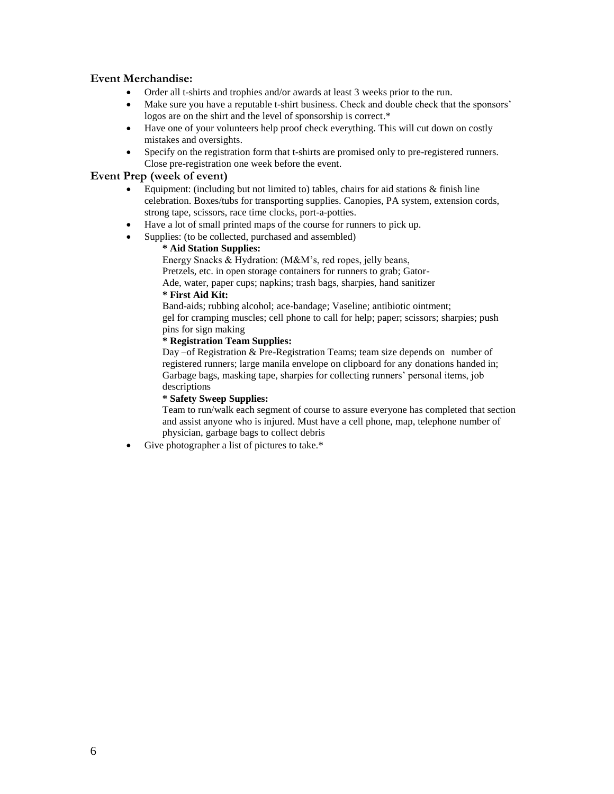## **Event Merchandise:**

- Order all t-shirts and trophies and/or awards at least 3 weeks prior to the run.
- Make sure you have a reputable t-shirt business. Check and double check that the sponsors' logos are on the shirt and the level of sponsorship is correct.\*
- Have one of your volunteers help proof check everything. This will cut down on costly mistakes and oversights.
- Specify on the registration form that t-shirts are promised only to pre-registered runners. Close pre-registration one week before the event.

### **Event Prep (week of event)**

- Equipment: (including but not limited to) tables, chairs for aid stations  $\&$  finish line celebration. Boxes/tubs for transporting supplies. Canopies, PA system, extension cords, strong tape, scissors, race time clocks, port-a-potties.
- Have a lot of small printed maps of the course for runners to pick up.
- Supplies: (to be collected, purchased and assembled)

## **\* Aid Station Supplies:**

Energy Snacks & Hydration: (M&M's, red ropes, jelly beans,

Pretzels, etc. in open storage containers for runners to grab; Gator-

Ade, water, paper cups; napkins; trash bags, sharpies, hand sanitizer **\* First Aid Kit:**

Band-aids; rubbing alcohol; ace-bandage; Vaseline; antibiotic ointment; gel for cramping muscles; cell phone to call for help; paper; scissors; sharpies; push pins for sign making

#### **\* Registration Team Supplies:**

Day –of Registration & Pre-Registration Teams; team size depends on number of registered runners; large manila envelope on clipboard for any donations handed in; Garbage bags, masking tape, sharpies for collecting runners' personal items, job descriptions

#### **\* Safety Sweep Supplies:**

Team to run/walk each segment of course to assure everyone has completed that section and assist anyone who is injured. Must have a cell phone, map, telephone number of physician, garbage bags to collect debris

Give photographer a list of pictures to take.\*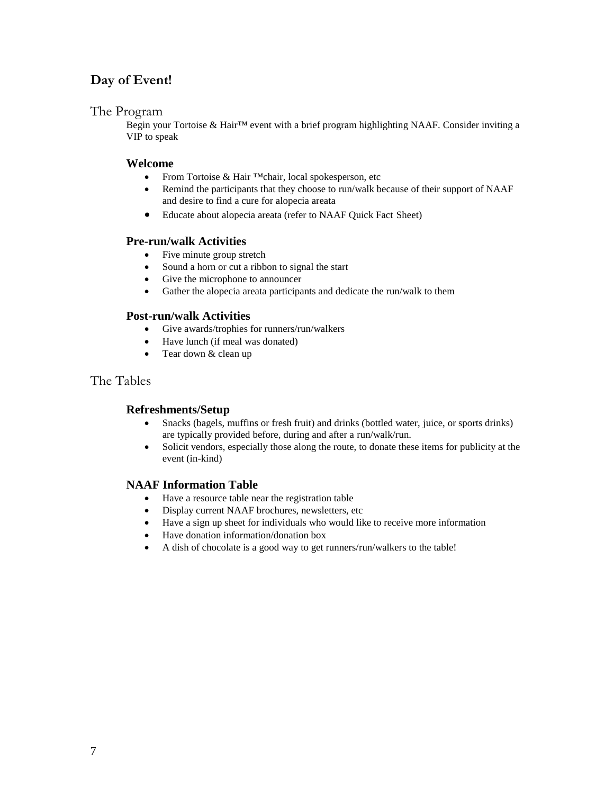# **Day of Event!**

# The Program

Begin your Tortoise & Hair™ event with a brief program highlighting NAAF. Consider inviting a VIP to speak

## **Welcome**

- From Tortoise & Hair ™chair, local spokesperson, etc
- Remind the participants that they choose to run/walk because of their support of NAAF and desire to find a cure for alopecia areata
- Educate about alopecia areata (refer to NAAF Quick Fact Sheet)

## **Pre-run/walk Activities**

- Five minute group stretch
- Sound a horn or cut a ribbon to signal the start
- Give the microphone to announcer
- Gather the alopecia areata participants and dedicate the run/walk to them

## **Post-run/walk Activities**

- Give awards/trophies for runners/run/walkers
- Have lunch (if meal was donated)
- Tear down & clean up

# The Tables

## **Refreshments/Setup**

- Snacks (bagels, muffins or fresh fruit) and drinks (bottled water, juice, or sports drinks) are typically provided before, during and after a run/walk/run.
- Solicit vendors, especially those along the route, to donate these items for publicity at the event (in-kind)

## **NAAF Information Table**

- Have a resource table near the registration table
- Display current NAAF brochures, newsletters, etc
- Have a sign up sheet for individuals who would like to receive more information
- Have donation information/donation box
- A dish of chocolate is a good way to get runners/run/walkers to the table!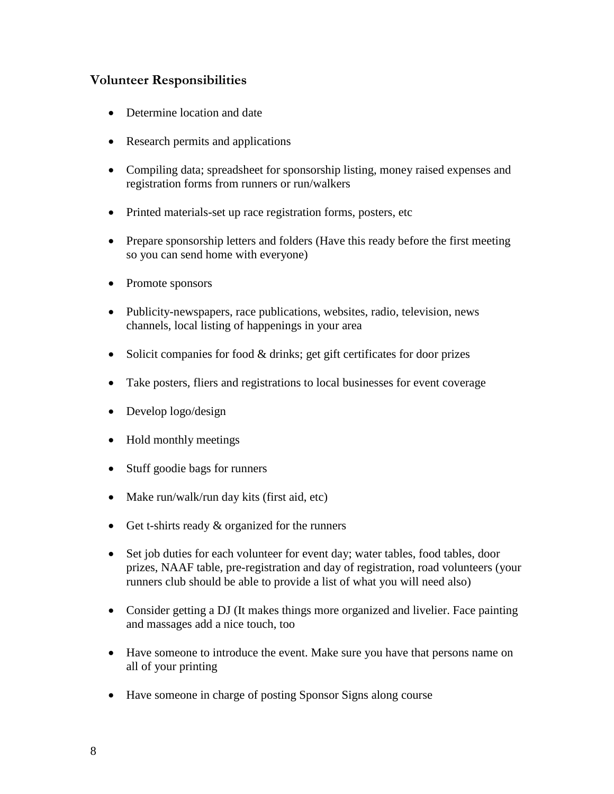# **Volunteer Responsibilities**

- Determine location and date
- Research permits and applications
- Compiling data; spreadsheet for sponsorship listing, money raised expenses and registration forms from runners or run/walkers
- Printed materials-set up race registration forms, posters, etc
- Prepare sponsorship letters and folders (Have this ready before the first meeting so you can send home with everyone)
- Promote sponsors
- Publicity-newspapers, race publications, websites, radio, television, news channels, local listing of happenings in your area
- $\bullet$  Solicit companies for food  $\&$  drinks; get gift certificates for door prizes
- Take posters, fliers and registrations to local businesses for event coverage
- Develop logo/design
- Hold monthly meetings
- Stuff goodie bags for runners
- Make run/walk/run day kits (first aid, etc)
- Get t-shirts ready  $&$  organized for the runners
- Set job duties for each volunteer for event day; water tables, food tables, door prizes, NAAF table, pre-registration and day of registration, road volunteers (your runners club should be able to provide a list of what you will need also)
- Consider getting a DJ (It makes things more organized and livelier. Face painting and massages add a nice touch, too
- Have someone to introduce the event. Make sure you have that persons name on all of your printing
- Have someone in charge of posting Sponsor Signs along course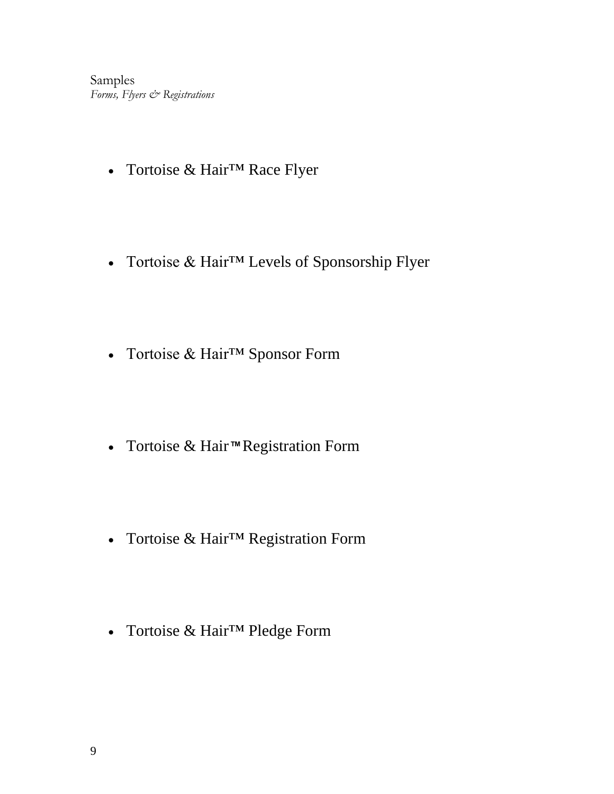Samples *Forms, Flyers & Registrations*

- Tortoise & Hair™ Race Flyer
- Tortoise & Hair™ Levels of Sponsorship Flyer
- Tortoise & Hair™ Sponsor Form
- Tortoise & Hair ™ Registration Form
- Tortoise & Hair™ Registration Form
- Tortoise & Hair™ Pledge Form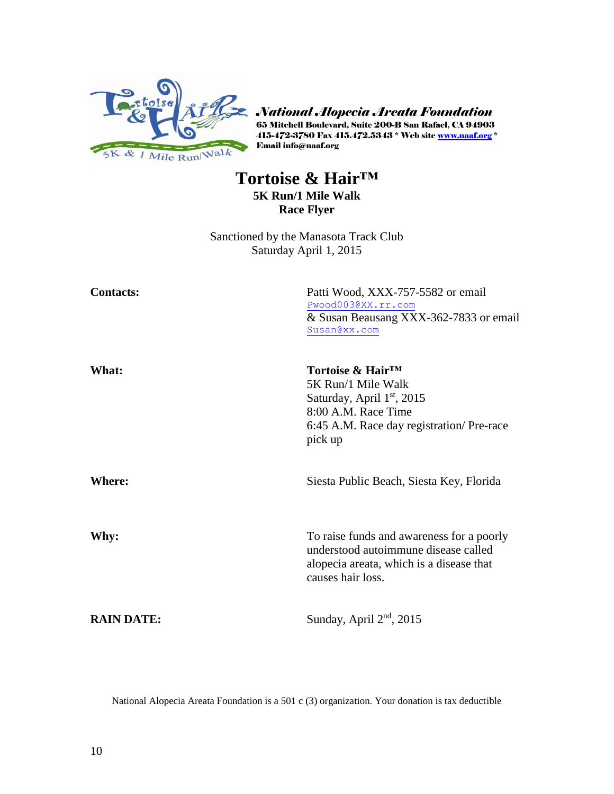

*National Alopecia Areata Foundation* 65 Mitchell Boulevard, Suite 200-B San Rafael, CA 94903 415-472-3780 Fax 415.472.5343 \* Web site <u>www.naaf.org</u> \* Email info@naaf.org

# **Tortoise & Hair™**

**5K Run/1 Mile Walk Race Flyer**

Sanctioned by the Manasota Track Club Saturday April 1, 2015

| <b>Contacts:</b>  | Patti Wood, XXX-757-5582 or email<br>Pwood003@XX.rr.com<br>& Susan Beausang XXX-362-7833 or email<br>Susan@xx.com                                                |
|-------------------|------------------------------------------------------------------------------------------------------------------------------------------------------------------|
| What:             | Tortoise & Hair <sup>™</sup><br>5K Run/1 Mile Walk<br>Saturday, April $1st$ , 2015<br>8:00 A.M. Race Time<br>6:45 A.M. Race day registration/Pre-race<br>pick up |
| <b>Where:</b>     | Siesta Public Beach, Siesta Key, Florida                                                                                                                         |
| Why:              | To raise funds and awareness for a poorly<br>understood autoimmune disease called<br>alopecia areata, which is a disease that<br>causes hair loss.               |
| <b>RAIN DATE:</b> | Sunday, April 2 <sup>nd</sup> , 2015                                                                                                                             |

National Alopecia Areata Foundation is a 501 c (3) organization. Your donation is tax deductible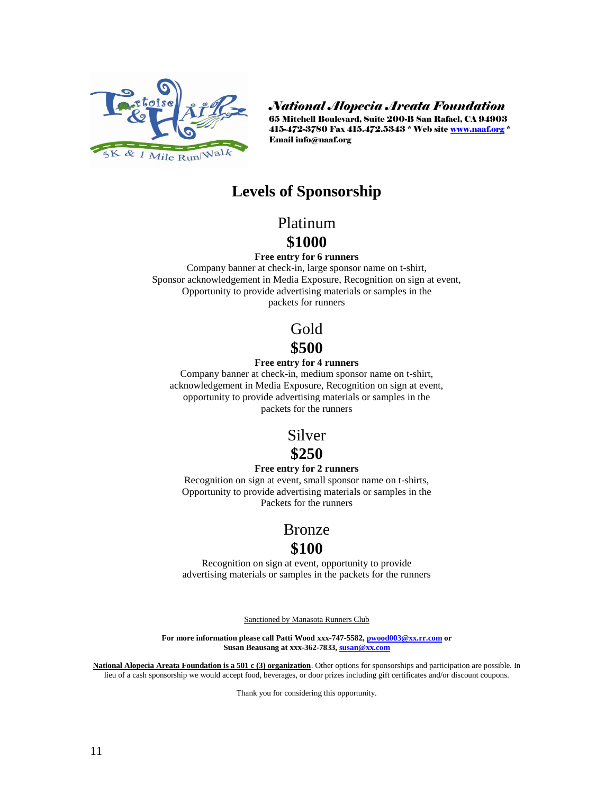

*National Alopecia Areata Foundation*

65 Mitchell Boulevard, Suite 200-B San Rafael, CA 94903 415-472-3780 Fax 415.472.5343 \* Web site [www.naaf.org](http://www.naaf.org/) \* Email info@naaf.org

# **Levels of Sponsorship**

# Platinum

# **\$1000**

#### **Free entry for 6 runners**

Company banner at check-in, large sponsor name on t-shirt, Sponsor acknowledgement in Media Exposure, Recognition on sign at event, Opportunity to provide advertising materials or samples in the packets for runners

> Gold **\$500**

## **Free entry for 4 runners**

Company banner at check-in, medium sponsor name on t-shirt, acknowledgement in Media Exposure, Recognition on sign at event, opportunity to provide advertising materials or samples in the packets for the runners

# Silver

# **\$250**

#### **Free entry for 2 runners**

Recognition on sign at event, small sponsor name on t-shirts, Opportunity to provide advertising materials or samples in the Packets for the runners

# Bronze

# **\$100**

Recognition on sign at event, opportunity to provide advertising materials or samples in the packets for the runners

Sanctioned by Manasota Runners Club

**For more information please call Patti Wood xxx-747-5582[, pwood003@xx.rr.com](mailto:pwood003@xx.rr.com) or Susan Beausang at xxx-362-7833[, susan@xx.com](mailto:susan@xx.com)**

**National Alopecia Areata Foundation is a 501 c (3) organization**. Other options for sponsorships and participation are possible. In lieu of a cash sponsorship we would accept food, beverages, or door prizes including gift certificates and/or discount coupons.

Thank you for considering this opportunity.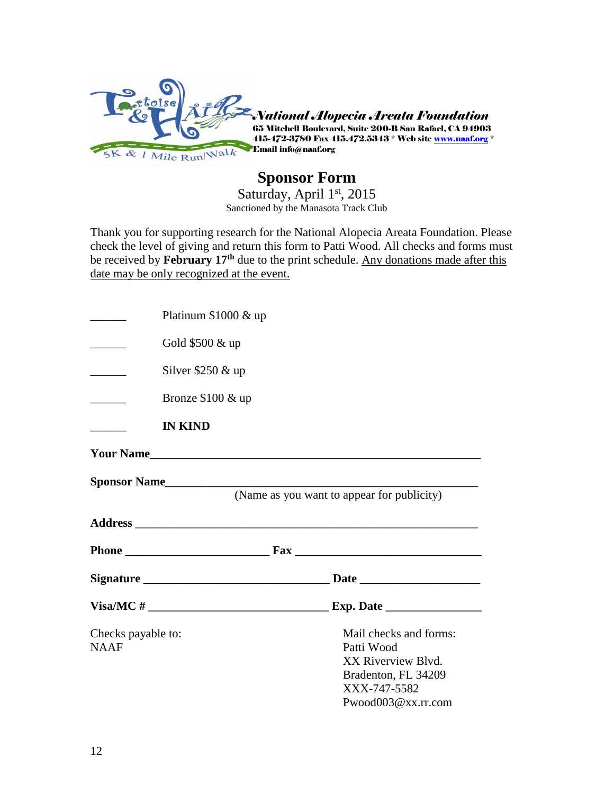

# **Sponsor Form**

Saturday, April 1st, 2015 Sanctioned by the Manasota Track Club

Thank you for supporting research for the National Alopecia Areata Foundation. Please check the level of giving and return this form to Patti Wood. All checks and forms must be received by **February 17th** due to the print schedule. Any donations made after this date may be only recognized at the event.

|                          | Platinum $$1000 \& \text{up}$ |                                            |
|--------------------------|-------------------------------|--------------------------------------------|
| <u>and the state</u>     | Gold \$500 & up               |                                            |
|                          | Silver $$250 \& up$           |                                            |
| $\overline{\phantom{a}}$ | Bronze \$100 & up             |                                            |
|                          | <b>IN KIND</b>                |                                            |
|                          | <b>Your Name</b>              |                                            |
|                          |                               | (Name as you want to appear for publicity) |
|                          |                               |                                            |
|                          |                               |                                            |
|                          |                               |                                            |
|                          |                               |                                            |
|                          |                               |                                            |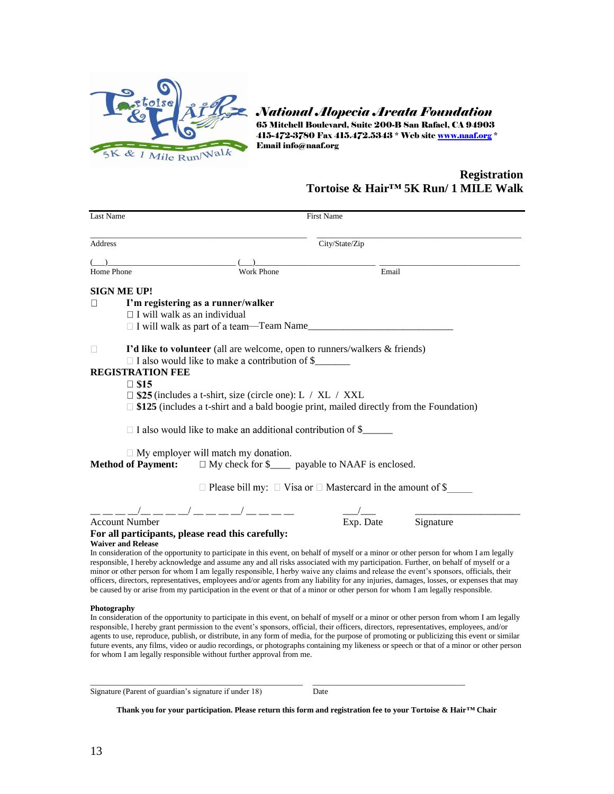

*National Alopecia Areata Foundation*

65 Mitchell Boulevard, Suite 200-B San Rafael, CA 94903 415-472-3780 Fax 415.472.5343 \* Web site <u>www.naaf.org</u> \* Email info@naaf.org

# **Registration Tortoise & Hair™ 5K Run/ 1 MILE Walk**

| Last Name                                                                                                                                                                                                                                                                                                                                                                                                                                                                                                                                                                                                                                                                                          |                                                                             | <b>First Name</b> |       |                                   |  |
|----------------------------------------------------------------------------------------------------------------------------------------------------------------------------------------------------------------------------------------------------------------------------------------------------------------------------------------------------------------------------------------------------------------------------------------------------------------------------------------------------------------------------------------------------------------------------------------------------------------------------------------------------------------------------------------------------|-----------------------------------------------------------------------------|-------------------|-------|-----------------------------------|--|
| Address                                                                                                                                                                                                                                                                                                                                                                                                                                                                                                                                                                                                                                                                                            |                                                                             | City/State/Zip    |       |                                   |  |
|                                                                                                                                                                                                                                                                                                                                                                                                                                                                                                                                                                                                                                                                                                    |                                                                             |                   |       |                                   |  |
| Home Phone                                                                                                                                                                                                                                                                                                                                                                                                                                                                                                                                                                                                                                                                                         | Work Phone                                                                  |                   | Email |                                   |  |
| SIGN ME UP!                                                                                                                                                                                                                                                                                                                                                                                                                                                                                                                                                                                                                                                                                        |                                                                             |                   |       |                                   |  |
| I'm registering as a runner/walker<br>$\Box$                                                                                                                                                                                                                                                                                                                                                                                                                                                                                                                                                                                                                                                       |                                                                             |                   |       |                                   |  |
| $\Box$ I will walk as an individual                                                                                                                                                                                                                                                                                                                                                                                                                                                                                                                                                                                                                                                                |                                                                             |                   |       |                                   |  |
| □ I will walk as part of a team—Team Name                                                                                                                                                                                                                                                                                                                                                                                                                                                                                                                                                                                                                                                          |                                                                             |                   |       |                                   |  |
| I'd like to volunteer (all are welcome, open to runners/walkers & friends)<br>П                                                                                                                                                                                                                                                                                                                                                                                                                                                                                                                                                                                                                    |                                                                             |                   |       |                                   |  |
| □ I also would like to make a contribution of \$                                                                                                                                                                                                                                                                                                                                                                                                                                                                                                                                                                                                                                                   |                                                                             |                   |       |                                   |  |
| <b>REGISTRATION FEE</b>                                                                                                                                                                                                                                                                                                                                                                                                                                                                                                                                                                                                                                                                            |                                                                             |                   |       |                                   |  |
| $\square$ \$15                                                                                                                                                                                                                                                                                                                                                                                                                                                                                                                                                                                                                                                                                     |                                                                             |                   |       |                                   |  |
| $\square$ \$25 (includes a t-shirt, size (circle one): L / XL / XXL                                                                                                                                                                                                                                                                                                                                                                                                                                                                                                                                                                                                                                |                                                                             |                   |       |                                   |  |
| $\Box$ \$125 (includes a t-shirt and a bald boogie print, mailed directly from the Foundation)                                                                                                                                                                                                                                                                                                                                                                                                                                                                                                                                                                                                     |                                                                             |                   |       |                                   |  |
| $\Box$ I also would like to make an additional contribution of \$                                                                                                                                                                                                                                                                                                                                                                                                                                                                                                                                                                                                                                  |                                                                             |                   |       |                                   |  |
| $\Box$ My employer will match my donation.<br><b>Method of Payment:</b>                                                                                                                                                                                                                                                                                                                                                                                                                                                                                                                                                                                                                            | $\Box$ My check for \$_____ payable to NAAF is enclosed.                    |                   |       |                                   |  |
|                                                                                                                                                                                                                                                                                                                                                                                                                                                                                                                                                                                                                                                                                                    | $\Box$ Please bill my: $\Box$ Visa or $\Box$ Mastercard in the amount of \$ |                   |       |                                   |  |
|                                                                                                                                                                                                                                                                                                                                                                                                                                                                                                                                                                                                                                                                                                    |                                                                             |                   |       |                                   |  |
| $\frac{1}{2}$ , $\frac{1}{2}$ , $\frac{1}{2}$ , $\frac{1}{2}$ , $\frac{1}{2}$ , $\frac{1}{2}$ , $\frac{1}{2}$ , $\frac{1}{2}$ , $\frac{1}{2}$ , $\frac{1}{2}$ , $\frac{1}{2}$ , $\frac{1}{2}$ , $\frac{1}{2}$ , $\frac{1}{2}$ , $\frac{1}{2}$ , $\frac{1}{2}$ , $\frac{1}{2}$ , $\frac{1}{2}$ , $\frac{1$<br><b>Account Number</b>                                                                                                                                                                                                                                                                                                                                                                 |                                                                             |                   |       | $\overline{Exp}$ . Date Signature |  |
| For all participants, please read this carefully:                                                                                                                                                                                                                                                                                                                                                                                                                                                                                                                                                                                                                                                  |                                                                             |                   |       |                                   |  |
| <b>Waiver and Release</b>                                                                                                                                                                                                                                                                                                                                                                                                                                                                                                                                                                                                                                                                          |                                                                             |                   |       |                                   |  |
| In consideration of the opportunity to participate in this event, on behalf of myself or a minor or other person for whom I am legally<br>responsible, I hereby acknowledge and assume any and all risks associated with my participation. Further, on behalf of myself or a<br>minor or other person for whom I am legally responsible, I herby waive any claims and release the event's sponsors, officials, their<br>officers, directors, representatives, employees and/or agents from any liability for any injuries, damages, losses, or expenses that may<br>be caused by or arise from my participation in the event or that of a minor or other person for whom I am legally responsible. |                                                                             |                   |       |                                   |  |
| Photography<br>In consideration of the opportunity to participate in this event, on behalf of myself or a minor or other person from whom I am legally<br>responsible, I hereby grant permission to the event's sponsors, official, their officers, directors, representatives, employees, and/or<br>agents to use, reproduce, publish, or distribute, in any form of media, for the purpose of promoting or publicizing this event or similar<br>future events, any films, video or audio recordings, or photographs containing my likeness or speech or that of a minor or other person<br>for whom I am legally responsible without further approval from me.                                   |                                                                             |                   |       |                                   |  |
| Signature (Parent of guardian's signature if under 18)                                                                                                                                                                                                                                                                                                                                                                                                                                                                                                                                                                                                                                             |                                                                             | Date              |       |                                   |  |

**Thank you for your participation. Please return this form and registration fee to your Tortoise & Hair™ Chair**